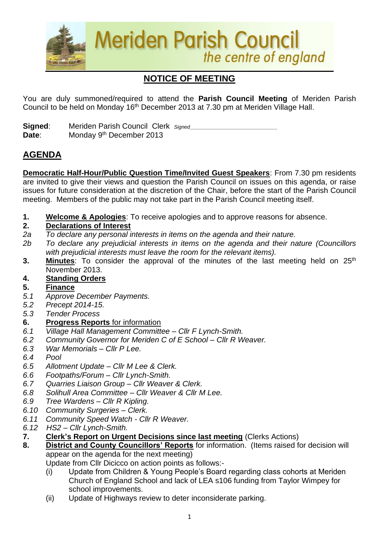

# **NOTICE OF MEETING**

You are duly summoned/required to attend the **Parish Council Meeting** of Meriden Parish Council to be held on Monday 16<sup>th</sup> December 2013 at 7.30 pm at Meriden Village Hall.

**Signed:** Meriden Parish Council Clerk *Signed* Date: Monday 9<sup>th</sup> December 2013

## **AGENDA**

**Democratic Half-Hour/Public Question Time/Invited Guest Speakers**: From 7.30 pm residents are invited to give their views and question the Parish Council on issues on this agenda, or raise issues for future consideration at the discretion of the Chair, before the start of the Parish Council meeting. Members of the public may not take part in the Parish Council meeting itself.

**1. Welcome & Apologies**: To receive apologies and to approve reasons for absence.

### **2. Declarations of Interest**

- *2a To declare any personal interests in items on the agenda and their nature.*
- *2b To declare any prejudicial interests in items on the agenda and their nature (Councillors with prejudicial interests must leave the room for the relevant items).*
- 3. Minutes: To consider the approval of the minutes of the last meeting held on 25<sup>th</sup> November 2013.

### **4. Standing Orders**

#### **5. Finance**

- *5.1 Approve December Payments.*
- *5.2 Precept 2014-15.*
- *5.3 Tender Process*

### **6. Progress Reports** for information

- *6.1 Village Hall Management Committee – Cllr F Lynch-Smith.*
- *6.2 Community Governor for Meriden C of E School – Cllr R Weaver.*
- *6.3 War Memorials – Cllr P Lee.*
- *6.4 Pool*
- *6.5 Allotment Update – Cllr M Lee & Clerk.*
- *6.6 Footpaths/Forum – Cllr Lynch-Smith.*
- *6.7 Quarries Liaison Group – Cllr Weaver & Clerk.*
- *6.8 Solihull Area Committee – Cllr Weaver & Cllr M Lee.*
- *6.9 Tree Wardens – Cllr R Kipling.*
- *6.10 Community Surgeries – Clerk.*
- *6.11 Community Speed Watch - Cllr R Weaver.*
- *6.12 HS2 – Cllr Lynch-Smith.*
- **7. Clerk's Report on Urgent Decisions since last meeting** (Clerks Actions)
- **8. District and County Councillors' Reports** for information. (Items raised for decision will appear on the agenda for the next meeting)

Update from Cllr Dicicco on action points as follows:-

- (i) Update from Children & Young People's Board regarding class cohorts at Meriden Church of England School and lack of LEA s106 funding from Taylor Wimpey for school improvements.
- (ii) Update of Highways review to deter inconsiderate parking.